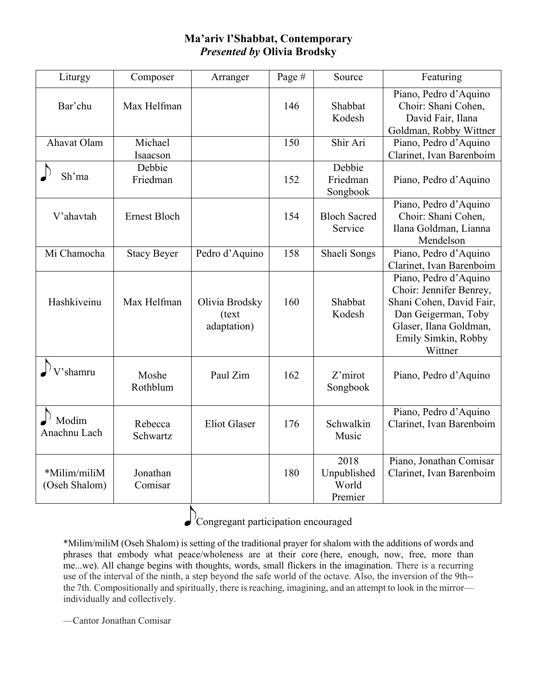## **Ma'ariv l'Shabbat, Contemporary** *Presented by* **Olivia Brodsky**

| Liturgy                       | Composer               | Arranger                                | Page #     | Source                                  | Featuring                                                                                                                                                       |
|-------------------------------|------------------------|-----------------------------------------|------------|-----------------------------------------|-----------------------------------------------------------------------------------------------------------------------------------------------------------------|
| Bar'chu<br>Ahavat Olam        | Max Helfman<br>Michael |                                         | 146<br>150 | Shabbat<br>Kodesh<br>Shir Ari           | Piano, Pedro d'Aquino<br>Choir: Shani Cohen,<br>David Fair, Ilana<br>Goldman, Robby Wittner<br>Piano, Pedro d'Aquino                                            |
|                               | Isaacson               |                                         |            |                                         | Clarinet, Ivan Barenboim                                                                                                                                        |
| Sh'ma                         | Debbie<br>Friedman     |                                         | 152        | Debbie<br>Friedman<br>Songbook          | Piano, Pedro d'Aquino                                                                                                                                           |
| V'ahavtah                     | <b>Ernest Bloch</b>    |                                         | 154        | <b>Bloch Sacred</b><br>Service          | Piano, Pedro d'Aquino<br>Choir: Shani Cohen,<br>Ilana Goldman, Lianna<br>Mendelson                                                                              |
| Mi Chamocha                   | <b>Stacy Beyer</b>     | Pedro d'Aquino                          | 158        | Shaeli Songs                            | Piano, Pedro d'Aquino<br>Clarinet, Ivan Barenboim                                                                                                               |
| Hashkiveinu                   | Max Helfman            | Olivia Brodsky<br>(text)<br>adaptation) | 160        | Shabbat<br>Kodesh                       | Piano, Pedro d'Aquino<br>Choir: Jennifer Benrey,<br>Shani Cohen, David Fair,<br>Dan Geigerman, Toby<br>Glaser, Ilana Goldman,<br>Emily Simkin, Robby<br>Wittner |
| V'shamru                      | Moshe<br>Rothblum      | Paul Zim                                | 162        | Z'mirot<br>Songbook                     | Piano, Pedro d'Aquino                                                                                                                                           |
| Modim<br>Anachnu Lach         | Rebecca<br>Schwartz    | <b>Eliot Glaser</b>                     | 176        | Schwalkin<br>Music                      | Piano, Pedro d'Aquino<br>Clarinet, Ivan Barenboim                                                                                                               |
| *Milim/miliM<br>(Oseh Shalom) | Jonathan<br>Comisar    |                                         | 180        | 2018<br>Unpublished<br>World<br>Premier | Piano, Jonathan Comisar<br>Clarinet, Ivan Barenboim                                                                                                             |

Congregant participation encouraged

\*Milim/miliM (Oseh Shalom) is setting of the traditional prayer for shalom with the additions of words and phrases that embody what peace/wholeness are at their core (here, enough, now, free, more than me...we). All change begins with thoughts, words, small flickers in the imagination. There is a recurring use of the interval of the ninth, a step beyond the safe world of the octave. Also, the inversion of the 9th- the 7th. Compositionally and spiritually, there is reaching, imagining, and an attempt to look in the mirror individually and collectively.

—Cantor Jonathan Comisar